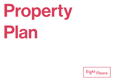

# Plan

# Eight Floors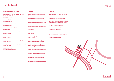Franklinstraße 28–29 Salzufer 11–12 10587 Berlin

Eight Floors

### Construction history – Size

Haus Gorbatschow 1900, Haus Oetker 1962, Haus Franklin 1982, full modernisation of all buildings 2015–2016

Rental area (NSA) approx. 39,500 sq m

Surface area Haus Franklin (GSA) approx. 43,100 sq m

Surface area Haus Oetker (GSA) approx. 5,509 sq m

Surface area Haus Gorbatschow (GSA) approx. 2,247 sq m

Surface area standard floor Haus Franklin (NSA) approx. 4,500 sq m

Surface area standard floor Haus Oetker (NSA) approx. 675 sq m

Surface area standard floor Haus Gorbatschow (NSA) approx. 390 sq m

Divisible starting with areas approx. 500 sq m in size

### Fact Sheet

### Features

New build of an architecturally impressive glass tower

Refurbishment of entrance areas - creation of a representative lobby with lounge character

Brand new servicing and maintenance facilities

Addition of ventilation and heating to all areas (optional air-conditioning or mechanical ventilation system)

Exterior sun and glare protection with automated controls

Generous ceiling heights of between approx. 2.85 - 3.20 metres

State of the art IT facilities (CAT 7) and climate-controlled server rooms in each unit

Representative entry and lounge area with reception, retail and service points (kiosks, dry cleaners, café)

In-house restaurant, canteen, café, kindergarten and gym

Courtyards and outdoor areas with seating and greenery

Rooftop terrace with conference rooms available for rental

Underground car park, outdoor parking lots and bicycle stands

### Location

Directly adjacent to the TU and PTP institute campuses

In close proximity to the office locations Ernst-Reuter-Platz (Deutsche Bank Campus, Telekom) and the KPM Quartier am Tiergarten (Federal Medical Chamber, National Association of Statutory Health Insurance Physicians and the Joint National Committee)

Perfect travel connections (S-Bahn and U-Bahn, busses, car, bicycle)

Close to Berlin-Tegel Airport (TXL)

Diverse recreational areas and parks (Tiergarten, Zoo, Landwehr Canal and Spree River) are all within walking distance

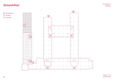# Franklinstraße 28–29<br>Salzufer 11–12<br>10587 Berlin

**Haus Gorbatschow Haus Oetker** Haus Franklin



3

Franklinstraße 28–29



Eight Floors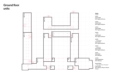# Ground floor units

Unit 01 Haus Franklin RA/T: approx. 490 sq m

Unit 02 Haus Franklin RA/T: approx. 390 sq m

Unit 03 Haus Franklin RA/T: approx. 590 sq m

Unit 04 *— Café* Haus Franklin RA/T: approx. 300 sq m

Unit 05 *— Kindergarten* Haus Franklin RA/T: approx. 835 sq m

Unit 06 *— Restaurant* Haus Franklin RA/T: approx. 395 sq m

Unit 07 Haus Oetker RA/T: 650 sq m

Unit 08 Haus Gorbatschow RA/T: 335 sq m

Service Points *— Post / Café / Kiosk / Reception* Haus Franklin RA/T: 28 sq m*/* 29 sq m*/* 45 sq m*/*  45 sq m



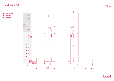# Franklinstraße 28–29<br>Salzufer 11–12<br>10587 Berlin

**Haus Gorbatschow Haus Oetker** Haus Franklin



5

Franklinstraße 28–29



Eight Floors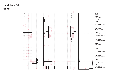# First floor 01 units

Unit 01 Haus Franklin RA/T: approx. 500 sq m

Unit 02 Haus Franklin RA/T: approx. 540 sq m

Unit 03 Haus Franklin RA/T: approx. 520 sq m

Unit 04 Haus Franklin RA/T: approx. 650 sq m

Unit 05 Haus Franklin RA/T: approx. 378 sq m

Unit 06 Haus Franklin RA/T: approx. 600 sq m

Unit 07 Haus Franklin RA/T: approx. 275 sq m

Unit 08 Haus Franklin RA/T: approx. 675 sq m

Unit 09 Haus Oetker RA/T: approx. 675 sq m

Unit 10 Haus Gorbatschow RA/T: approx. 390 sq m



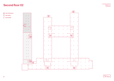

Eight Floors

# Franklinstraße 28–29<br>Second floor 02 **10587 Berlinstraße 28–29**<br>10587 Berlin



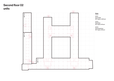### Second floor 02 units

Unit 01 Haus Franklin RA/T: approx. 4,500 sq m

Unit 02 Haus Oetker RA/T: approx. 675 sq m

Unit 03 Haus Gorbatschow RA/T: approx. 390 sq m



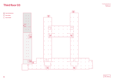

Eight Floors

# Franklinstraße 28–29<br>Salzufer 11–12<br>10587 Berlin



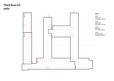# Third floor 03 units

Unit 01 Haus Franklin RA/T: approx. 2,180 sq m

Unit 02 Haus Franklin RA/T: approx. 2,175 sq m

Unit 03 Haus Oetker RA/T: approx. 675 sq m

Unit 04 Haus Gorbatschow RA/T: approx. 390 sq m



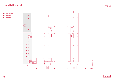

Eight Floors

# Franklinstraße 28–29<br>Salzufer 11–12<br>10587 Berlin



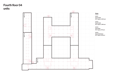## Fourth floor 04 units

Unit 01 Haus Franklin RA/T: approx. 2,500 sq m

Unit 02 Haus Franklin RA/T: approx. 1,950 sq m

Unit 03 Haus Oetker RA/T: approx. 675 sq m

Unit 04 Haus Gorbatschow RA/T: approx. 390 sq m



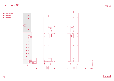

Eight Floors

# $\mathsf{Firth} \mathsf{floor}\ \mathsf{O5}^\mathsf{FranklinstraBe\,28-29}_{\mathsf{Salzufer} \mathsf{11}\text{--12}}$



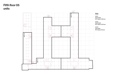# Fifth floor 05 units

Unit 01 Haus Franklin RA/T: approx. 2,180 sq m

Unit 02 Haus Franklin RA/T: approx. 2,270 sq m

Unit 03 Haus Oetker RA/T: approx. 675 sq m



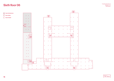

Eight Floors

# Franklinstraße 28–29<br>Sixth floor 06 Salzufer 11–12<br>10587 Berlin



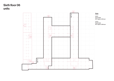# Sixth floor 06 units

Unit 01 Haus Franklin RA/T: approx. 2,100 sq m

Unit 02 Haus Franklin RA/T: approx. 2,250 sq m



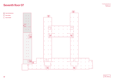

Eight Floors

# Seventh floor 07 **Inter 11–12** Seventh floor 07



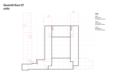## Seventh floor 07 units

Unit 01 Haus Franklin RA/T: approx. 1,615 sq m

Unit 03 Haus Franklin RA/T: approx. 760 sq m

Unit 04 Haus Franklin RA/T: approx. 600 sq m



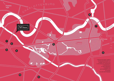7

8

**Brandenburger** Tor

*<sup>S</sup> <sup>P</sup> <sup>R</sup> <sup>E</sup> <sup>E</sup>*



1) DEUTSCHE BANK CAMPUS 2) FRAUNHOFER INSTITUT 3) ERNST-REUTER-PLATZ 4) TECHNISCHE UNIVERSITÄT 5) SIEGESSÄULE 6) HAUPTBAHNHOF 7) BUNDESTAG 8) POTSDAMER PLATZ 9) KADEWE 10) KURFÜRSTENDAMM

MITTE

 $\Box$ 

 $\leq$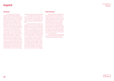Franklinstraße 28–29 Salzufer 11–12 10587 Berlin

Eight Floors

The contents of these documents are intended as general information. Changes or additions to these documents and the information therein can be made at any time. The floorplans and measurements shown herein are provisional. Where measurements are supplied, particularly with respect to commercial spaces, they are approximations. We reserve the right to make changes in accordance with any necessary planning regulations. Floorplans and measurements as well as size, number, arrangement and design of the windows may therefore deviate from the images shown in these documents and may vary in accordance with construction requirements. The decisive factor will be the conditions pertaining after completion of construction. Similarly, individual floors may differ from one another in terms of their floorplan and measurements. The image representations, the fittings and fixtures of the rooms, technology and equipment etc. serve purely illustrative purposes. No assumptions should be made about specifications or quality based solely on the representations in these documents. The representations are for promotional purposes only. They do not constitute an offer to conclude a contract. All texts, images

### Imprint

and graphics in these documents are copyrighted.

The reproduction, dissemination or any other usage of content or data, especially the use of texts, text passages or image material, as well as the use of logos, is not permitted without the express permission of the individual copyright holder.

Despite careful checks we assume no responsibility for the content of external links. The operators themselves are exclusively responsible for the content of linked pages. All information offered here – even in excerpt form – can only be utilised or otherwise published with express written consent by Suprema Immobilienverwaltung GmbH. It is by no means permitted to disseminate the information online or via other media or to use it commercially. The user of the pages does not have the right to any content or data offered for download. Links to our website pages are only permitted with the prior consent by Suprema Immobilienverwaltung GmbH. All content on our online presence was carefully compiled and is regularly updated. Nevertheless errors or falsifications by third parties are possible. We therefore assume no liability for the completeness, currency and accuracy of content supplied.

### **Disclaimer Disclaimer Disclaimer Disclaimer Disclaimer Disclaimer Disclaimer Disclaimer Disclaimer Disclaimer**

Suprema Immobilienverwaltung GmbH takes the protection of your personal data very seriously and respects your privacy. We assure you that your personal data will be treated with the utmost confidentiality and will not be shared with third parties. You can retrieve substantial amounts of information from our websites without providing any personal information. If you choose to provide your personal details, Suprema Immobilienverwaltung GmbH will use this information only in relation to your requests. In so doing, you consent to Suprema Immobilienverwaltung GmbH saving your details with the option of future use to inform you of upcoming events or current information.

The legal principles of our data protection policy are stated in the Federal Data Protection Act (BDSG) and the Telemedia Act (TMG).